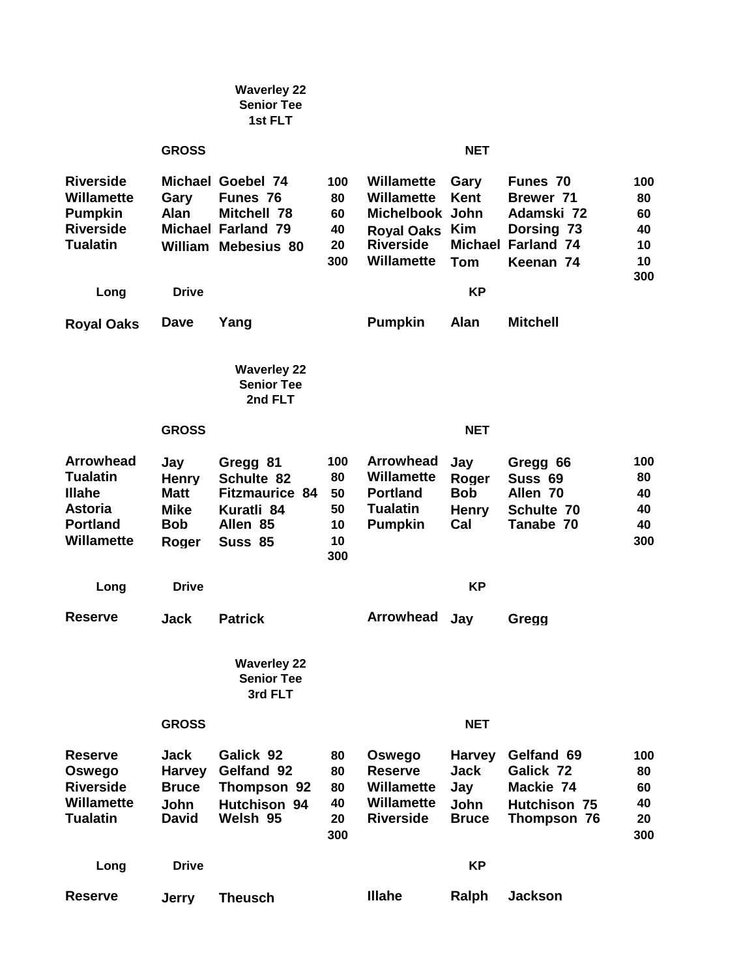|                                                                                                                |                                                                          | <b>Waverley 22</b><br><b>Senior Tee</b><br>1st FLT                                              |                                          |                                                                                                                  |                                                                    |                                                                                                    |                                          |
|----------------------------------------------------------------------------------------------------------------|--------------------------------------------------------------------------|-------------------------------------------------------------------------------------------------|------------------------------------------|------------------------------------------------------------------------------------------------------------------|--------------------------------------------------------------------|----------------------------------------------------------------------------------------------------|------------------------------------------|
|                                                                                                                | <b>GROSS</b>                                                             |                                                                                                 |                                          |                                                                                                                  | <b>NET</b>                                                         |                                                                                                    |                                          |
| <b>Riverside</b><br><b>Willamette</b><br><b>Pumpkin</b><br><b>Riverside</b><br><b>Tualatin</b>                 | Gary<br><b>Alan</b><br><b>Michael</b>                                    | Michael Goebel 74<br>Funes 76<br>Mitchell 78<br><b>Farland 79</b><br><b>William Mebesius 80</b> | 100<br>80<br>60<br>40<br>20<br>300       | Willamette<br><b>Willamette</b><br>Michelbook John<br><b>Royal Oaks</b><br><b>Riverside</b><br><b>Willamette</b> | Gary<br><b>Kent</b><br>Kim<br><b>Tom</b>                           | Funes 70<br><b>Brewer 71</b><br>Adamski 72<br>Dorsing 73<br><b>Michael Farland 74</b><br>Keenan 74 | 100<br>80<br>60<br>40<br>10<br>10<br>300 |
| Long                                                                                                           | <b>Drive</b>                                                             |                                                                                                 |                                          |                                                                                                                  | <b>KP</b>                                                          |                                                                                                    |                                          |
| <b>Royal Oaks</b>                                                                                              | Dave                                                                     | Yang                                                                                            |                                          | <b>Pumpkin</b>                                                                                                   | Alan                                                               | <b>Mitchell</b>                                                                                    |                                          |
|                                                                                                                |                                                                          | <b>Waverley 22</b><br><b>Senior Tee</b><br>2nd FLT                                              |                                          |                                                                                                                  |                                                                    |                                                                                                    |                                          |
|                                                                                                                | <b>GROSS</b>                                                             |                                                                                                 |                                          |                                                                                                                  | <b>NET</b>                                                         |                                                                                                    |                                          |
| <b>Arrowhead</b><br><b>Tualatin</b><br><b>Illahe</b><br><b>Astoria</b><br><b>Portland</b><br><b>Willamette</b> | Jay<br><b>Henry</b><br><b>Matt</b><br><b>Mike</b><br><b>Bob</b><br>Roger | Gregg 81<br>Schulte 82<br><b>Fitzmaurice 84</b><br>Kuratli 84<br>Allen 85<br>Suss 85            | 100<br>80<br>50<br>50<br>10<br>10<br>300 | <b>Arrowhead</b><br><b>Willamette</b><br><b>Portland</b><br><b>Tualatin</b><br><b>Pumpkin</b>                    | Jay<br>Roger<br><b>Bob</b><br><b>Henry</b><br>Cal                  | Gregg 66<br>Suss 69<br>Allen <sub>70</sub><br>Schulte 70<br>Tanabe 70                              | 100<br>80<br>40<br>40<br>40<br>300       |
| Long                                                                                                           | <b>Drive</b>                                                             |                                                                                                 |                                          |                                                                                                                  | KP                                                                 |                                                                                                    |                                          |
| <b>Reserve</b>                                                                                                 | Jack                                                                     | <b>Patrick</b>                                                                                  |                                          | <b>Arrowhead</b>                                                                                                 | Jay                                                                | Gregg                                                                                              |                                          |
|                                                                                                                |                                                                          | <b>Waverley 22</b><br><b>Senior Tee</b><br>3rd FLT                                              |                                          |                                                                                                                  |                                                                    |                                                                                                    |                                          |
|                                                                                                                | <b>GROSS</b>                                                             |                                                                                                 |                                          |                                                                                                                  | <b>NET</b>                                                         |                                                                                                    |                                          |
| <b>Reserve</b><br>Oswego<br><b>Riverside</b><br>Willamette<br><b>Tualatin</b>                                  | Jack<br><b>Harvey</b><br><b>Bruce</b><br><b>John</b><br><b>David</b>     | Galick 92<br>Gelfand 92<br>Thompson 92<br>Hutchison 94<br>Welsh 95                              | 80<br>80<br>80<br>40<br>20<br>300        | Oswego<br><b>Reserve</b><br><b>Willamette</b><br>Willamette<br><b>Riverside</b>                                  | <b>Harvey</b><br><b>Jack</b><br>Jay<br><b>John</b><br><b>Bruce</b> | Gelfand 69<br>Galick 72<br>Mackie 74<br><b>Hutchison 75</b><br>Thompson 76                         | 100<br>80<br>60<br>40<br>20<br>300       |
| Long                                                                                                           | <b>Drive</b>                                                             |                                                                                                 |                                          |                                                                                                                  | <b>KP</b>                                                          |                                                                                                    |                                          |
| <b>Reserve</b>                                                                                                 | <b>Jerry</b>                                                             | <b>Theusch</b>                                                                                  |                                          | <b>Illahe</b>                                                                                                    | Ralph                                                              | <b>Jackson</b>                                                                                     |                                          |